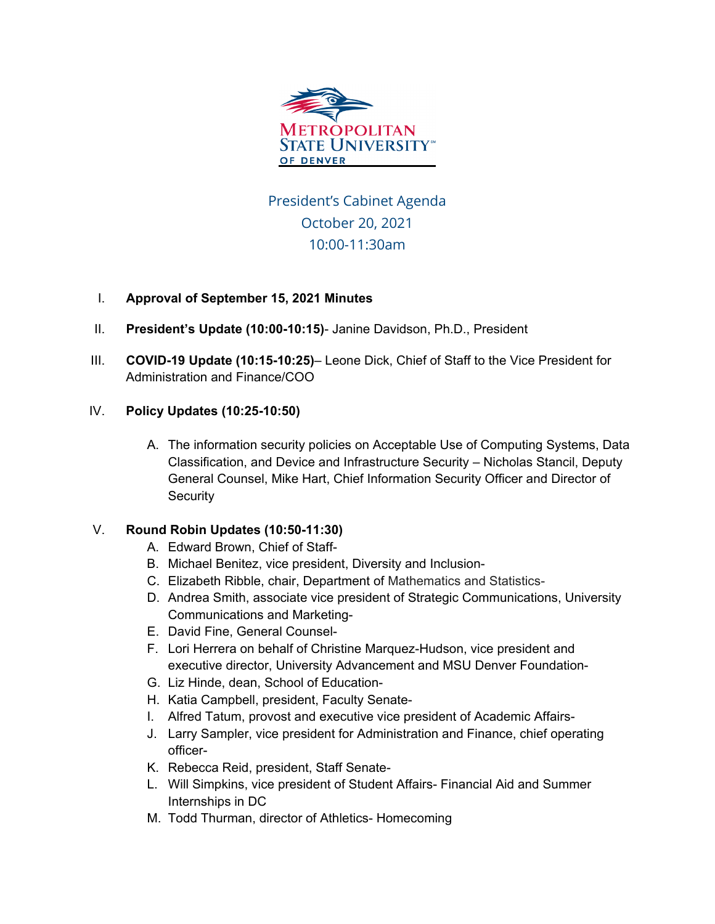

President's Cabinet Agenda October 20, 2021 10:00-11:30am

## I. **Approval of September 15, 2021 Minutes**

- II. **President's Update (10:00-10:15)** Janine Davidson, Ph.D., President
- III. **COVID-19 Update (10:15-10:25)** Leone Dick, Chief of Staff to the Vice President for Administration and Finance/COO

## IV. **Policy Updates (10:25-10:50)**

A. The information security policies on Acceptable Use of Computing Systems, Data Classification, and Device and Infrastructure Security – Nicholas Stancil, Deputy General Counsel, Mike Hart, Chief Information Security Officer and Director of **Security** 

## V. **Round Robin Updates (10:50-11:30)**

- A. Edward Brown, Chief of Staff-
- B. Michael Benitez, vice president, Diversity and Inclusion-
- C. Elizabeth Ribble, chair, Department of Mathematics and Statistics-
- D. Andrea Smith, associate vice president of Strategic Communications, University Communications and Marketing-
- E. David Fine, General Counsel-
- F. Lori Herrera on behalf of Christine Marquez-Hudson, vice president and executive director, University Advancement and MSU Denver Foundation-
- G. Liz Hinde, dean, School of Education-
- H. Katia Campbell, president, Faculty Senate-
- I. Alfred Tatum, provost and executive vice president of Academic Affairs-
- J. Larry Sampler, vice president for Administration and Finance, chief operating officer-
- K. Rebecca Reid, president, Staff Senate-
- L. Will Simpkins, vice president of Student Affairs- Financial Aid and Summer Internships in DC
- M. Todd Thurman, director of Athletics- Homecoming